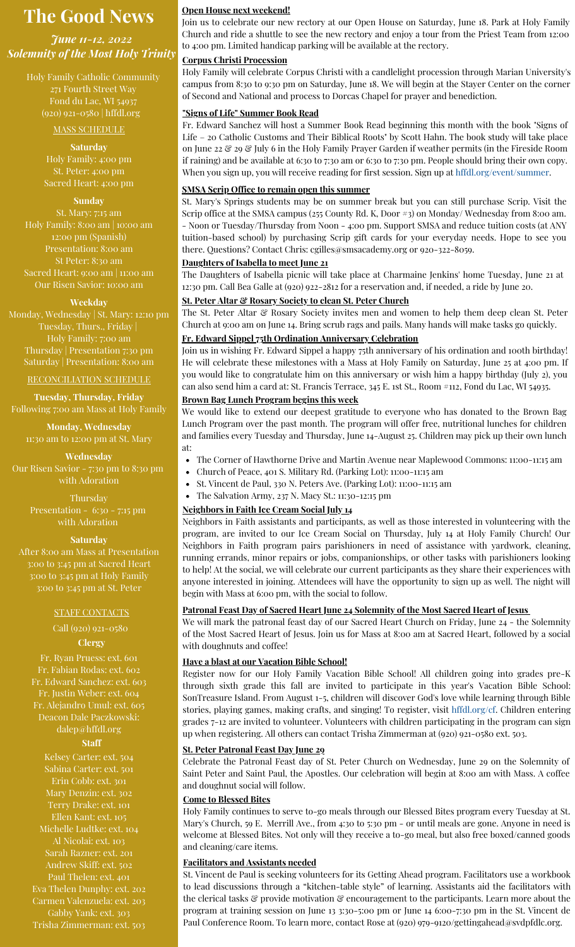# **The Good News**

*June 11-12, 2022 Solemnity of the Most Holy Trinity*

> Holy Family Catholic Community 271 Fourth Street Way Fond du Lac, WI 54937 (920) 921-0580 | hffdl.org

#### MASS SCHEDULE

#### **Saturday**

Holy Family: 4:00 pm St. Peter: 4:00 pm Sacred Heart: 4:00 pm

#### **Sunday**

St. Mary: 7:15 am Holy Family: 8:00 am | 10:00 am 12:00 pm (Spanish) Presentation: 8:00 am St Peter: 8:30 am Sacred Heart: 9:00 am | 11:00 am Our Risen Savior: 10:00 am

#### **Weekday**

Monday, Wednesday | St. Mary: 12:10 pm Tuesday, Thurs., Friday | Holy Family: 7:00 am Thursday | Presentation 7:30 pm Saturday | Presentation: 8:00 am

#### RECONCILIATION SCHEDULE

**Tuesday, Thursday, Friday** Following 7:00 am Mass at Holy Family

**Monday, Wednesday** 11:30 am to 12:00 pm at St. Mary

**Wednesday** Our Risen Savior - 7:30 pm to 8:30 pm with Adoration

> **Thursday** Presentation - 6:30 - 7:15 pm with Adoration

#### **Saturday**

After 8:00 am Mass at Presentation 3:00 to 3:45 pm at Sacred Heart 3:00 to 3:45 pm at Holy Family 3:00 to 3:45 pm at St. Peter

#### STAFF CONTACTS

# Call (920) 921-0580

## **Clergy**

Fr. Ryan Pruess: ext. 601 Fr. Fabian Rodas: ext. 602 Fr. Edward Sanchez: ext. 603 Fr. Justin Weber: ext. 604 Fr. Alejandro Umul: ext. 605 Deacon Dale Paczkowski: [dalep@hffdl.org](mailto:dalep@hffdl.org)

#### **Staff**

Kelsey Carter: ext. 504 Sabina Carter: ext. 501 Erin Cobb: ext. 301 Mary Denzin: ext. 302 Terry Drake: ext. 101 Ellen Kant: ext. 105 Michelle Ludtke: ext. 104 Al Nicolai: ext. 103 Sarah Razner: ext. 201 Andrew Skiff: ext. 502 Paul Thelen: ext. 401 Eva Thelen Dunphy: ext. 202 Carmen Valenzuela: ext. 203 Gabby Yank: ext. 303 Trisha Zimmerman: ext. 503

#### **Open House next weekend!**

Join us to celebrate our new rectory at our Open House on Saturday, June 18. Park at Holy Family Church and ride a shuttle to see the new rectory and enjoy a tour from the Priest Team from 12:00 to 4:00 pm. Limited handicap parking will be available at the rectory.

#### **Corpus Christi Procession**

Holy Family will celebrate Corpus Christi with a candlelight procession through Marian University's campus from 8:30 to 9:30 pm on Saturday, June 18. We will begin at the Stayer Center on the corner of Second and National and process to Dorcas Chapel for prayer and benediction.

#### **"Signs of Life" Summer Book Read**

Fr. Edward Sanchez will host a Summer Book Read beginning this month with the book "Signs of Life – 20 Catholic Customs and Their Biblical Roots" by Scott Hahn. The book study will take place on June 22 & 29 & July 6 in the Holy Family Prayer Garden if weather permits (in the Fireside Room if raining) and be available at 6:30 to 7:30 am or 6:30 to 7:30 pm. People should bring their own copy. When you sign up, you will receive reading for first session. Sign up at [hffdl.org/event/summer.](http://hffdl.org/event/summer)

#### **SMSA Scrip Office to remain open this summer**

St. Mary's Springs students may be on summer break but you can still purchase Scrip. Visit the Scrip office at the SMSA campus (255 County Rd. K, Door #3) on Monday/ Wednesday from 8:00 am. - Noon or Tuesday/Thursday from Noon - 4:00 pm. Support SMSA and reduce tuition costs (at ANY tuition-based school) by purchasing Scrip gift cards for your everyday needs. Hope to see you there. Questions? Contact Chris: [cgilles@smsacademy.org](mailto:cgilles@smsacademy.org) or 920-322-8059.

### **Daughters of Isabella to meet June 21**

The Daughters of Isabella picnic will take place at Charmaine Jenkins' home Tuesday, June 21 at 12:30 pm. Call Bea Galle at (920) 922-2812 for a reservation and, if needed, a ride by June 20.

#### **St. Peter Altar & Rosary Society to clean St. Peter Church**

The St. Peter Altar & Rosary Society invites men and women to help them deep clean St. Peter Church at 9:00 am on June 14. Bring scrub rags and pails. Many hands will make tasks go quickly.

#### **Fr. Edward Sippel 75th Ordination Anniversary Celebration**

Join us in wishing Fr. Edward Sippel a happy 75th anniversary of his ordination and 100th birthday! He will celebrate these milestones with a Mass at Holy Family on Saturday, June 25 at 4:00 pm. If you would like to congratulate him on this anniversary or wish him a happy birthday (July 2), you can also send him a card at: St. Francis Terrace, 345 E. 1st St., Room #112, Fond du Lac, WI 54935.

#### **Brown Bag Lunch Program begins this week**

We would like to extend our deepest gratitude to everyone who has donated to the Brown Bag Lunch Program over the past month. The program will offer free, nutritional lunches for children and families every Tuesday and Thursday, June 14-August 25. Children may pick up their own lunch at:

- $\bullet$ The Corner of Hawthorne Drive and Martin Avenue near Maplewood Commons: 11:00-11:15 am
- $\bullet$ Church of Peace, 401 S. Military Rd. (Parking Lot): 11:00-11:15 am
- St. Vincent de Paul, 330 N. Peters Ave. (Parking Lot): 11:00-11:15 am  $\bullet$
- The Salvation Army, 237 N. Macy St.: 11:30-12:15 pm

#### **Neighbors in Faith Ice Cream Social July 14**

Neighbors in Faith assistants and participants, as well as those interested in volunteering with the program, are invited to our Ice Cream Social on Thursday, July 14 at Holy Family Church! Our Neighbors in Faith program pairs parishioners in need of assistance with yardwork, cleaning, running errands, minor repairs or jobs, companionships, or other tasks with parishioners looking to help! At the social, we will celebrate our current participants as they share their experiences with anyone interested in joining. Attendees will have the opportunity to sign up as well. The night will begin with Mass at 6:00 pm, with the social to follow.

#### **Patronal Feast Day of Sacred Heart June 24 Solemnity of the Most Sacred Heart of Jesus**

We will mark the patronal feast day of our Sacred Heart Church on Friday, June 24 - the Solemnity of the Most Sacred Heart of Jesus. Join us for Mass at 8:00 am at Sacred Heart, followed by a social with doughnuts and coffee!

#### **Have a blast at our Vacation Bible School!**

Register now for our Holy Family Vacation Bible School! All children going into grades pre-K through sixth grade this fall are invited to participate in this year's Vacation Bible School: SonTreasure Island. From August 1-5, children will discover God's love while learning through Bible stories, playing games, making crafts, and singing! To register, visit [hffdl.org/](http://www.hffdl.org/christian_formation/)cf. Children entering grades 7-12 are invited to volunteer. Volunteers with children participating in the program can sign up when registering. All others can contact Trisha Zimmerman at (920) 921-0580 ext. 503.

#### **St. Peter Patronal Feast Day June 29**

Celebrate the Patronal Feast day of St. Peter Church on Wednesday, June 29 on the Solemnity of Saint Peter and Saint Paul, the Apostles. Our celebration will begin at 8:00 am with Mass. A coffee and doughnut social will follow.

#### **Come to Blessed Bites**

Holy Family continues to serve to-go meals through our Blessed Bites program every Tuesday at St. Mary's Church, 59 E. Merrill Ave., from 4:30 to 5:30 pm - or until meals are gone. Anyone in need is welcome at Blessed Bites. Not only will they receive a to-go meal, but also free boxed/canned goods and cleaning/care items.

#### **Facilitators and Assistants needed**

St. Vincent de Paul is seeking volunteers for its Getting Ahead program. Facilitators use a workbook to lead discussions through a "kitchen-table style" of learning. Assistants aid the facilitators with the clerical tasks & provide motivation & encouragement to the participants. Learn more about the program at training session on June 13 3:30-5:00 pm or June 14 6:00-7:30 pm in the St. Vincent de Paul Conference Room. To learn more, contact Rose at (920) 979-9120/[gettingahead@svdpfdlc.org](mailto:Gettingahead@svdpfdlc.org).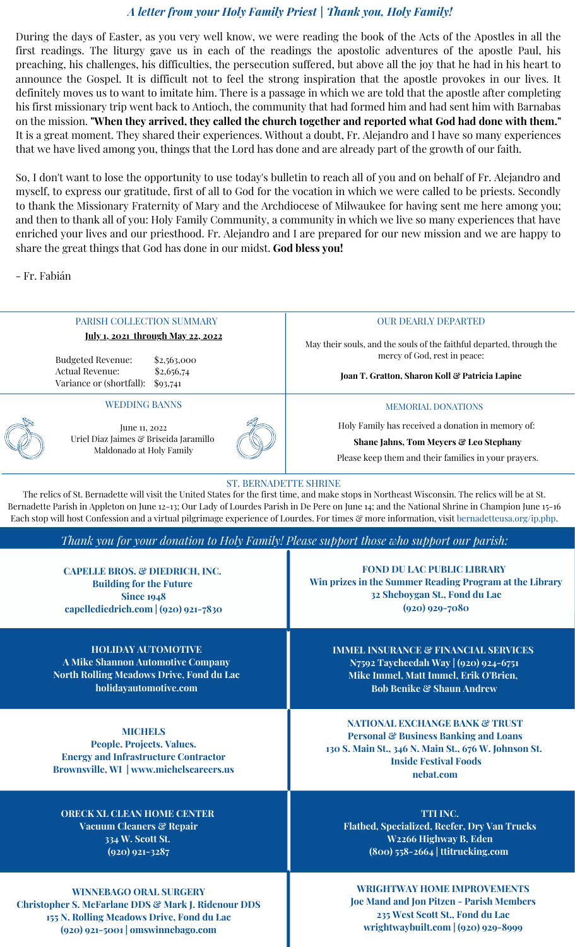## *A letter from your Holy Family Priest | Thank you, Holy Family!*

During the days of Easter, as you very well know, we were reading the book of the Acts of the Apostles in all the first readings. The liturgy gave us in each of the readings the apostolic adventures of the apostle Paul, his preaching, his challenges, his difficulties, the persecution suffered, but above all the joy that he had in his heart to announce the Gospel. It is difficult not to feel the strong inspiration that the apostle provokes in our lives. It definitely moves us to want to imitate him. There is a passage in which we are told that the apostle after completing his first missionary trip went back to Antioch, the community that had formed him and had sent him with Barnabas on the mission. **"When they arrived, they called the church together and reported what God had done with them."** It is a great moment. They shared their experiences. Without a doubt, Fr. Alejandro and I have so many experiences that we have lived among you, things that the Lord has done and are already part of the growth of our faith.

So, I don't want to lose the opportunity to use today's bulletin to reach all of you and on behalf of Fr. Alejandro and myself, to express our gratitude, first of all to God for the vocation in which we were called to be priests. Secondly to thank the Missionary Fraternity of Mary and the Archdiocese of Milwaukee for having sent me here among you; and then to thank all of you: Holy Family Community, a community in which we live so many experiences that have enriched your lives and our priesthood. Fr. Alejandro and I are prepared for our new mission and we are happy to share the great things that God has done in our midst. **God bless you!**

- Fr. Fabián

| PARISH COLLECTION SUMMARY                                                                                                                                                                                                                                                                                                                                                                                                                                                       | <b>OUR DEARLY DEPARTED</b>                                                                                                                                                                         |
|---------------------------------------------------------------------------------------------------------------------------------------------------------------------------------------------------------------------------------------------------------------------------------------------------------------------------------------------------------------------------------------------------------------------------------------------------------------------------------|----------------------------------------------------------------------------------------------------------------------------------------------------------------------------------------------------|
| <u>July 1, 2021 through May 22, 2022</u>                                                                                                                                                                                                                                                                                                                                                                                                                                        | May their souls, and the souls of the faithful departed, through the<br>mercy of God, rest in peace:                                                                                               |
| <b>Budgeted Revenue:</b><br>\$2,563,000<br>Actual Revenue:<br>\$2,656,74<br>Variance or (shortfall):<br>\$93,741                                                                                                                                                                                                                                                                                                                                                                | Joan T. Gratton, Sharon Koll & Patricia Lapine                                                                                                                                                     |
| <b>WEDDING BANNS</b>                                                                                                                                                                                                                                                                                                                                                                                                                                                            | <b>MEMORIAL DONATIONS</b>                                                                                                                                                                          |
| June 11, 2022                                                                                                                                                                                                                                                                                                                                                                                                                                                                   | Holy Family has received a donation in memory of:                                                                                                                                                  |
| Uriel Diaz Jaimes & Briseida Jaramillo                                                                                                                                                                                                                                                                                                                                                                                                                                          | Shane Jahns, Tom Meyers & Leo Stephany                                                                                                                                                             |
| Maldonado at Holy Family                                                                                                                                                                                                                                                                                                                                                                                                                                                        | Please keep them and their families in your prayers.                                                                                                                                               |
| <b>ST. BERNADETTE SHRINE</b><br>The relics of St. Bernadette will visit the United States for the first time, and make stops in Northeast Wisconsin. The relics will be at St.<br>Bernadette Parish in Appleton on June 12-13; Our Lady of Lourdes Parish in De Pere on June 14; and the National Shrine in Champion June 15-16<br>Each stop will host Confession and a virtual pilgrimage experience of Lourdes. For times & more information, visit bernadetteusa.org/ip.php. |                                                                                                                                                                                                    |
| Thank you for your donation to Holy Family! Please support those who support our parish:                                                                                                                                                                                                                                                                                                                                                                                        |                                                                                                                                                                                                    |
| CAPELLE BROS. & DIEDRICH, INC.<br><b>Building for the Future</b><br><b>Since 1948</b><br>capellediedrich.com $(920)$ 921-7830                                                                                                                                                                                                                                                                                                                                                   | <b>FOND DU LAC PUBLIC LIBRARY</b><br>Win prizes in the Summer Reading Program at the Library<br>32 Sheboygan St., Fond du Lac<br>$(920)$ 929-7080                                                  |
| <b>HOLIDAY AUTOMOTIVE</b><br><b>A Mike Shannon Automotive Company</b><br><b>North Rolling Meadows Drive, Fond du Lac</b><br>holidayautomotive.com                                                                                                                                                                                                                                                                                                                               | <b>IMMEL INSURANCE &amp; FINANCIAL SERVICES</b><br>N7592 Taycheedah Way   (920) 924-6751<br>Mike Immel, Matt Immel, Erik O'Brien,<br><b>Bob Benike &amp; Shaun Andrew</b>                          |
| <b>MICHELS</b><br>People. Projects. Values.<br><b>Energy and Infrastructure Contractor</b><br>Brownsville, WI   www.michelscareers.us                                                                                                                                                                                                                                                                                                                                           | <b>NATIONAL EXCHANGE BANK &amp; TRUST</b><br><b>Personal &amp; Business Banking and Loans</b><br>130 S. Main St., 346 N. Main St., 676 W. Johnson St.<br><b>Inside Festival Foods</b><br>nebat.com |
| <b>ORECK XL CLEAN HOME CENTER</b><br><b>Vacuum Cleaners &amp; Repair</b><br>334 W. Scott St.<br>$(920)$ 921-3287                                                                                                                                                                                                                                                                                                                                                                | TTI INC.<br>Flatbed, Specialized, Reefer, Dry Van Trucks<br>W2266 Highway B, Eden<br>$(800)$ 558-2664   ttitrucking.com                                                                            |
| <b>WINNEBAGO ORAL SURGERY</b><br><b>Christopher S. McFarlane DDS &amp; Mark J. Ridenour DDS</b><br>155 N. Rolling Meadows Drive, Fond du Lac<br>$(920)$ 921-5001   omswinnebago.com                                                                                                                                                                                                                                                                                             | <b>WRIGHTWAY HOME IMPROVEMENTS</b><br><b>Joe Mand and Jon Pitzen - Parish Members</b><br>235 West Scott St., Fond du Lac<br>wrightwaybuilt.com   (920) 929-8999                                    |

Ш